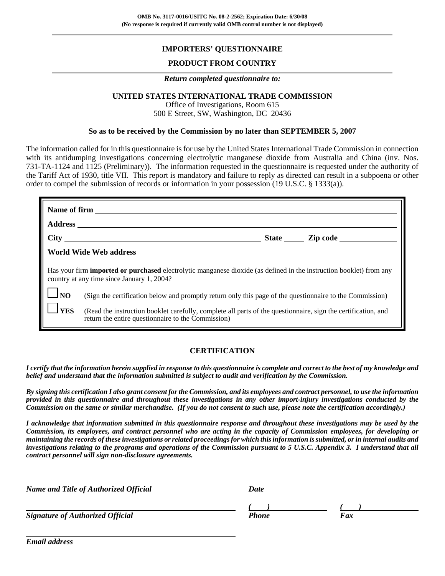# **IMPORTERS' QUESTIONNAIRE**

# **PRODUCT FROM COUNTRY**

#### *Return completed questionnaire to:*

## **UNITED STATES INTERNATIONAL TRADE COMMISSION**

Office of Investigations, Room 615 500 E Street, SW, Washington, DC 20436

#### **So as to be received by the Commission by no later than SEPTEMBER 5, 2007**

The information called for in this questionnaire is for use by the United States International Trade Commission in connection with its antidumping investigations concerning electrolytic manganese dioxide from Australia and China (inv. Nos. 731-TA-1124 and 1125 (Preliminary)). The information requested in the questionnaire is requested under the authority of the Tariff Act of 1930, title VII. This report is mandatory and failure to reply as directed can result in a subpoena or other order to compel the submission of records or information in your possession (19 U.S.C. § 1333(a)).

|                   | Has your firm <b>imported or purchased</b> electrolytic manganese dioxide (as defined in the instruction booklet) from any<br>country at any time since January 1, 2004? |
|-------------------|--------------------------------------------------------------------------------------------------------------------------------------------------------------------------|
| $\frac{1}{10}$ NO | (Sign the certification below and promptly return only this page of the questionnaire to the Commission)                                                                 |
| $l$ YES           | (Read the instruction booklet carefully, complete all parts of the questionnaire, sign the certification, and<br>return the entire questionnaire to the Commission)      |

#### **CERTIFICATION**

*I certify that the information herein supplied in response to this questionnaire is complete and correct to the best of my knowledge and belief and understand that the information submitted is subject to audit and verification by the Commission.*

*By signing this certification I also grant consent for the Commission, and its employees and contract personnel, to use the information provided in this questionnaire and throughout these investigations in any other import-injury investigations conducted by the Commission on the same or similar merchandise. (If you do not consent to such use, please note the certification accordingly.)*

*I acknowledge that information submitted in this questionnaire response and throughout these investigations may be used by the Commission, its employees, and contract personnel who are acting in the capacity of Commission employees, for developing or maintaining the records of these investigations or related proceedings for which this information is submitted, or in internal audits and investigations relating to the programs and operations of the Commission pursuant to 5 U.S.C. Appendix 3. I understand that all contract personnel will sign non-disclosure agreements.*

| <b>Name and Title of Authorized Official</b> | Date         |     |  |
|----------------------------------------------|--------------|-----|--|
|                                              |              |     |  |
| <b>Signature of Authorized Official</b>      | <b>Phone</b> | Fax |  |

*Email address*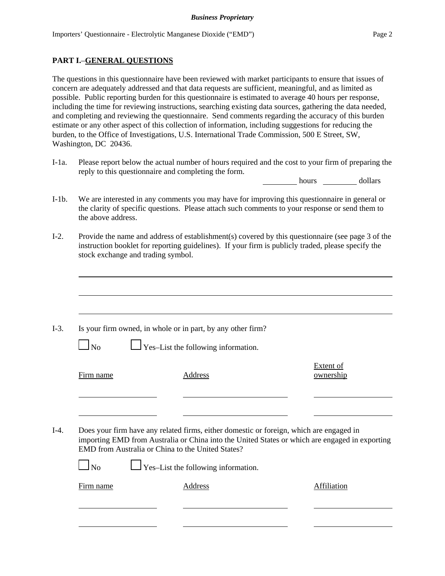## **PART I.**–**GENERAL QUESTIONS**

The questions in this questionnaire have been reviewed with market participants to ensure that issues of concern are adequately addressed and that data requests are sufficient, meaningful, and as limited as possible. Public reporting burden for this questionnaire is estimated to average 40 hours per response, including the time for reviewing instructions, searching existing data sources, gathering the data needed, and completing and reviewing the questionnaire. Send comments regarding the accuracy of this burden estimate or any other aspect of this collection of information, including suggestions for reducing the burden, to the Office of Investigations, U.S. International Trade Commission, 500 E Street, SW, Washington, DC 20436.

I-1a. Please report below the actual number of hours required and the cost to your firm of preparing the reply to this questionnaire and completing the form.

hours dollars

- I-1b. We are interested in any comments you may have for improving this questionnaire in general or the clarity of specific questions. Please attach such comments to your response or send them to the above address.
- I-2. Provide the name and address of establishment(s) covered by this questionnaire (see page 3 of the instruction booklet for reporting guidelines). If your firm is publicly traded, please specify the stock exchange and trading symbol.

|           | Is your firm owned, in whole or in part, by any other firm?                                                                                         |                               |
|-----------|-----------------------------------------------------------------------------------------------------------------------------------------------------|-------------------------------|
| $\Box$ No | $\perp$ Yes–List the following information.                                                                                                         |                               |
| Firm name | Address                                                                                                                                             | <b>Extent of</b><br>ownership |
|           |                                                                                                                                                     |                               |
|           | Does your firm have any related firms, either domestic or foreign, which are engaged in                                                             |                               |
|           | importing EMD from Australia or China into the United States or which are engaged in exporting<br>EMD from Australia or China to the United States? |                               |
| $\ln$     | $\Box$ Yes-List the following information.                                                                                                          |                               |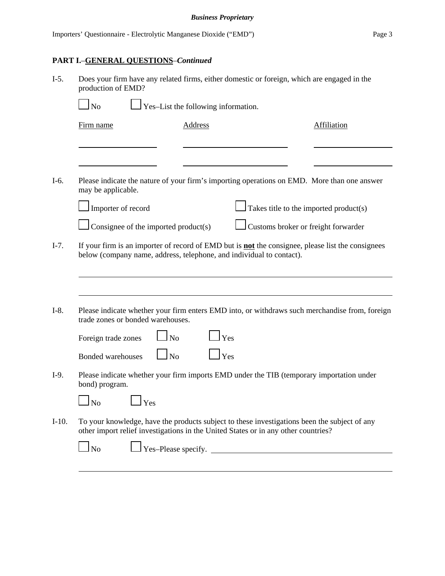# **PART I.**–**GENERAL QUESTIONS**–*Continued*

| $I-5.$  | production of EMD?                                                            | Does your firm have any related firms, either domestic or foreign, which are engaged in the                                                                                        |     |                                                                                                          |
|---------|-------------------------------------------------------------------------------|------------------------------------------------------------------------------------------------------------------------------------------------------------------------------------|-----|----------------------------------------------------------------------------------------------------------|
|         | <b>No</b>                                                                     | $\frac{1}{2}$ Yes-List the following information.                                                                                                                                  |     |                                                                                                          |
|         | Firm name                                                                     | <b>Address</b>                                                                                                                                                                     |     | <b>Affiliation</b>                                                                                       |
|         |                                                                               |                                                                                                                                                                                    |     |                                                                                                          |
| I-6.    | may be applicable.                                                            |                                                                                                                                                                                    |     | Please indicate the nature of your firm's importing operations on EMD. More than one answer              |
|         | Importer of record                                                            |                                                                                                                                                                                    |     | Takes title to the imported product(s)                                                                   |
|         |                                                                               | Consignee of the imported product(s)                                                                                                                                               |     | Customs broker or freight forwarder                                                                      |
| $I-7.$  |                                                                               | below (company name, address, telephone, and individual to contact).                                                                                                               |     | If your firm is an importer of record of EMD but is <b>not</b> the consignee, please list the consignees |
|         |                                                                               |                                                                                                                                                                                    |     |                                                                                                          |
| $I-8.$  |                                                                               | trade zones or bonded warehouses.                                                                                                                                                  |     | Please indicate whether your firm enters EMD into, or withdraws such merchandise from, foreign           |
|         | Foreign trade zones                                                           | <b>No</b>                                                                                                                                                                          | Yes |                                                                                                          |
|         | Bonded warehouses                                                             | $\ln$                                                                                                                                                                              | Yes |                                                                                                          |
| $I-9.$  | bond) program.                                                                |                                                                                                                                                                                    |     | Please indicate whether your firm imports EMD under the TIB (temporary importation under                 |
|         | ┍═┑<br><u>in the second property of the second property</u><br>N <sub>o</sub> | Yes                                                                                                                                                                                |     |                                                                                                          |
| $I-10.$ |                                                                               | To your knowledge, have the products subject to these investigations been the subject of any<br>other import relief investigations in the United States or in any other countries? |     |                                                                                                          |
|         | N <sub>o</sub>                                                                | $\Box$ Yes-Please specify. $\Box$                                                                                                                                                  |     |                                                                                                          |
|         |                                                                               |                                                                                                                                                                                    |     |                                                                                                          |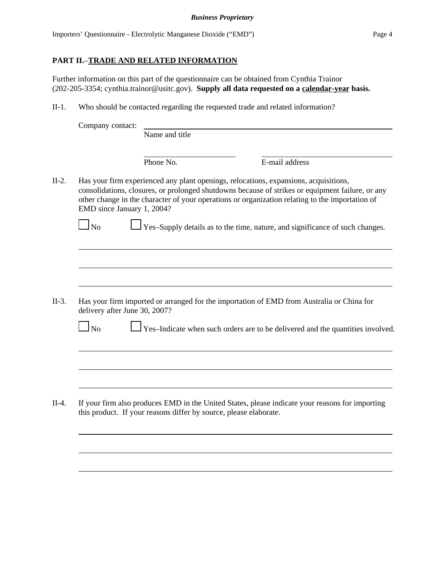# **PART II.**–**TRADE AND RELATED INFORMATION**

Further information on this part of the questionnaire can be obtained from Cynthia Trainor (202-205-3354; cynthia.trainor@usitc.gov). **Supply all data requested on a calendar-year basis.**

II-1. Who should be contacted regarding the requested trade and related information?

| Company contact: |                                                                   |                                                                                                                                                                                                                                                                                             |  |
|------------------|-------------------------------------------------------------------|---------------------------------------------------------------------------------------------------------------------------------------------------------------------------------------------------------------------------------------------------------------------------------------------|--|
|                  | Name and title                                                    |                                                                                                                                                                                                                                                                                             |  |
|                  | Phone No.                                                         | E-mail address                                                                                                                                                                                                                                                                              |  |
|                  | EMD since January 1, 2004?                                        | Has your firm experienced any plant openings, relocations, expansions, acquisitions,<br>consolidations, closures, or prolonged shutdowns because of strikes or equipment failure, or any<br>other change in the character of your operations or organization relating to the importation of |  |
| $\log$           |                                                                   | Yes-Supply details as to the time, nature, and significance of such changes.                                                                                                                                                                                                                |  |
|                  |                                                                   |                                                                                                                                                                                                                                                                                             |  |
|                  |                                                                   |                                                                                                                                                                                                                                                                                             |  |
|                  | delivery after June 30, 2007?                                     | Has your firm imported or arranged for the importation of EMD from Australia or China for                                                                                                                                                                                                   |  |
| $\log$           |                                                                   | Yes-Indicate when such orders are to be delivered and the quantities involved.                                                                                                                                                                                                              |  |
|                  |                                                                   |                                                                                                                                                                                                                                                                                             |  |
|                  |                                                                   |                                                                                                                                                                                                                                                                                             |  |
|                  | this product. If your reasons differ by source, please elaborate. | If your firm also produces EMD in the United States, please indicate your reasons for importing                                                                                                                                                                                             |  |
|                  |                                                                   |                                                                                                                                                                                                                                                                                             |  |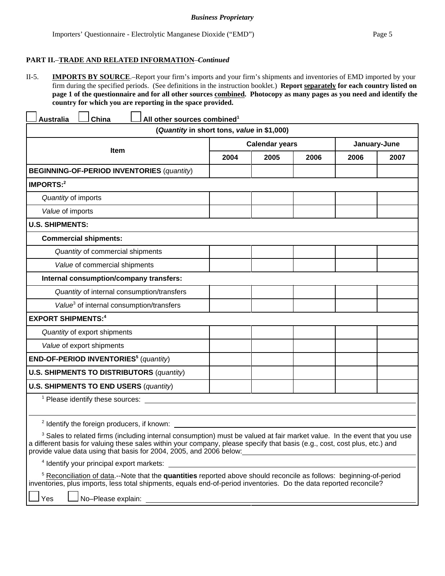# **PART II.**–**TRADE AND RELATED INFORMATION**–*Continued*

II-5. **IMPORTS BY SOURCE**.–Report your firm's imports and your firm's shipments and inventories of EMD imported by your firm during the specified periods. (See definitions in the instruction booklet.) **Report separately for each country listed on page 1 of the questionnaire and for all other sources combined. Photocopy as many pages as you need and identify the country for which you are reporting in the space provided.**

| <b>Australia</b>                                     | China                                                  | All other sources combined <sup>1</sup>                                                                                                                                                                                                                                                                                                  |                       |      |      |              |      |
|------------------------------------------------------|--------------------------------------------------------|------------------------------------------------------------------------------------------------------------------------------------------------------------------------------------------------------------------------------------------------------------------------------------------------------------------------------------------|-----------------------|------|------|--------------|------|
|                                                      |                                                        | (Quantity in short tons, value in \$1,000)                                                                                                                                                                                                                                                                                               |                       |      |      |              |      |
|                                                      |                                                        |                                                                                                                                                                                                                                                                                                                                          | <b>Calendar years</b> |      |      | January-June |      |
|                                                      | <b>Item</b>                                            |                                                                                                                                                                                                                                                                                                                                          | 2004                  | 2005 | 2006 | 2006         | 2007 |
|                                                      |                                                        | <b>BEGINNING-OF-PERIOD INVENTORIES (quantity)</b>                                                                                                                                                                                                                                                                                        |                       |      |      |              |      |
| <b>IMPORTS:2</b>                                     |                                                        |                                                                                                                                                                                                                                                                                                                                          |                       |      |      |              |      |
| Quantity of imports                                  |                                                        |                                                                                                                                                                                                                                                                                                                                          |                       |      |      |              |      |
| Value of imports                                     |                                                        |                                                                                                                                                                                                                                                                                                                                          |                       |      |      |              |      |
| <b>U.S. SHIPMENTS:</b>                               |                                                        |                                                                                                                                                                                                                                                                                                                                          |                       |      |      |              |      |
|                                                      | <b>Commercial shipments:</b>                           |                                                                                                                                                                                                                                                                                                                                          |                       |      |      |              |      |
|                                                      | Quantity of commercial shipments                       |                                                                                                                                                                                                                                                                                                                                          |                       |      |      |              |      |
|                                                      | Value of commercial shipments                          |                                                                                                                                                                                                                                                                                                                                          |                       |      |      |              |      |
|                                                      | Internal consumption/company transfers:                |                                                                                                                                                                                                                                                                                                                                          |                       |      |      |              |      |
|                                                      |                                                        | Quantity of internal consumption/transfers                                                                                                                                                                                                                                                                                               |                       |      |      |              |      |
| Value <sup>3</sup> of internal consumption/transfers |                                                        |                                                                                                                                                                                                                                                                                                                                          |                       |      |      |              |      |
| <b>EXPORT SHIPMENTS:4</b>                            |                                                        |                                                                                                                                                                                                                                                                                                                                          |                       |      |      |              |      |
|                                                      | Quantity of export shipments                           |                                                                                                                                                                                                                                                                                                                                          |                       |      |      |              |      |
|                                                      | Value of export shipments                              |                                                                                                                                                                                                                                                                                                                                          |                       |      |      |              |      |
|                                                      | END-OF-PERIOD INVENTORIES <sup>5</sup> (quantity)      |                                                                                                                                                                                                                                                                                                                                          |                       |      |      |              |      |
|                                                      |                                                        | <b>U.S. SHIPMENTS TO DISTRIBUTORS (quantity)</b>                                                                                                                                                                                                                                                                                         |                       |      |      |              |      |
|                                                      | <b>U.S. SHIPMENTS TO END USERS (quantity)</b>          |                                                                                                                                                                                                                                                                                                                                          |                       |      |      |              |      |
|                                                      | <sup>1</sup> Please identify these sources:            |                                                                                                                                                                                                                                                                                                                                          |                       |      |      |              |      |
|                                                      | <sup>2</sup> Identify the foreign producers, if known: |                                                                                                                                                                                                                                                                                                                                          |                       |      |      |              |      |
|                                                      |                                                        | <sup>3</sup> Sales to related firms (including internal consumption) must be valued at fair market value. In the event that you use<br>a different basis for valuing these sales within your company, please specify that basis (e.g., cost, cost plus, etc.) and<br>provide value data using that basis for 2004, 2005, and 2006 below: |                       |      |      |              |      |
|                                                      | <sup>4</sup> Identify your principal export markets:   |                                                                                                                                                                                                                                                                                                                                          |                       |      |      |              |      |
| Yes                                                  | No-Please explain:                                     | <sup>5</sup> Reconciliation of data .-- Note that the quantities reported above should reconcile as follows: beginning-of-period<br>inventories, plus imports, less total shipments, equals end-of-period inventories. Do the data reported reconcile?                                                                                   |                       |      |      |              |      |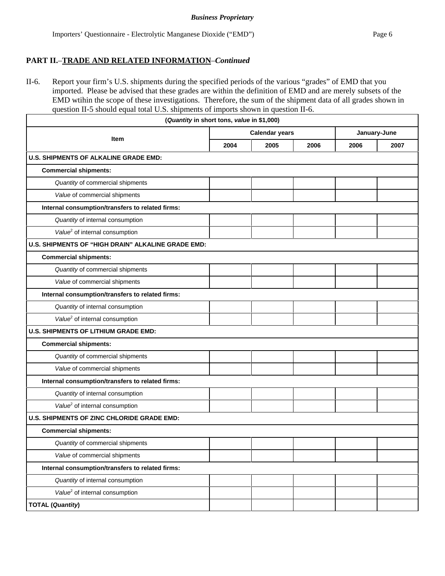# **PART II.**–**TRADE AND RELATED INFORMATION**–*Continued*

II-6. Report your firm's U.S. shipments during the specified periods of the various "grades" of EMD that you imported. Please be advised that these grades are within the definition of EMD and are merely subsets of the EMD wtihin the scope of these investigations. Therefore, the sum of the shipment data of all grades shown in question II-5 should equal total U.S. shipments of imports shown in question II-6.

| (Quantity in short tons, value in \$1,000)         |                       |      |      |              |      |
|----------------------------------------------------|-----------------------|------|------|--------------|------|
|                                                    | <b>Calendar years</b> |      |      | January-June |      |
| <b>Item</b>                                        | 2004                  | 2005 | 2006 | 2006         | 2007 |
| <b>U.S. SHIPMENTS OF ALKALINE GRADE EMD:</b>       |                       |      |      |              |      |
| <b>Commercial shipments:</b>                       |                       |      |      |              |      |
| Quantity of commercial shipments                   |                       |      |      |              |      |
| Value of commercial shipments                      |                       |      |      |              |      |
| Internal consumption/transfers to related firms:   |                       |      |      |              |      |
| Quantity of internal consumption                   |                       |      |      |              |      |
| Value <sup>2</sup> of internal consumption         |                       |      |      |              |      |
| U.S. SHIPMENTS OF "HIGH DRAIN" ALKALINE GRADE EMD: |                       |      |      |              |      |
| <b>Commercial shipments:</b>                       |                       |      |      |              |      |
| Quantity of commercial shipments                   |                       |      |      |              |      |
| Value of commercial shipments                      |                       |      |      |              |      |
| Internal consumption/transfers to related firms:   |                       |      |      |              |      |
| Quantity of internal consumption                   |                       |      |      |              |      |
| Value <sup>2</sup> of internal consumption         |                       |      |      |              |      |
| <b>U.S. SHIPMENTS OF LITHIUM GRADE EMD:</b>        |                       |      |      |              |      |
| <b>Commercial shipments:</b>                       |                       |      |      |              |      |
| Quantity of commercial shipments                   |                       |      |      |              |      |
| Value of commercial shipments                      |                       |      |      |              |      |
| Internal consumption/transfers to related firms:   |                       |      |      |              |      |
| Quantity of internal consumption                   |                       |      |      |              |      |
| Value <sup>2</sup> of internal consumption         |                       |      |      |              |      |
| U.S. SHIPMENTS OF ZINC CHLORIDE GRADE EMD:         |                       |      |      |              |      |
| <b>Commercial shipments:</b>                       |                       |      |      |              |      |
| Quantity of commercial shipments                   |                       |      |      |              |      |
| Value of commercial shipments                      |                       |      |      |              |      |
| Internal consumption/transfers to related firms:   |                       |      |      |              |      |
| Quantity of internal consumption                   |                       |      |      |              |      |
| Value <sup>2</sup> of internal consumption         |                       |      |      |              |      |
| <b>TOTAL (Quantity)</b>                            |                       |      |      |              |      |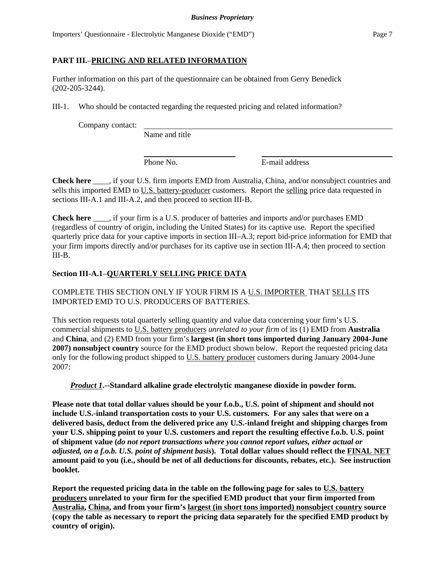Importers' Questionnaire - Electrolytic Manganese Dioxide ("EMD") Page 7

# **PART III.**–**PRICING AND RELATED INFORMATION**

Further information on this part of the questionnaire can be obtained from Gerry Benedick (202-205-3244).

III-1. Who should be contacted regarding the requested pricing and related information?

Company contact:

Name and title

Phone No. **E**-mail address

**Check here** \_\_\_\_, if your U.S. firm imports EMD from Australia, China, and/or nonsubject countries and sells this imported EMD to U.S. battery-producer customers. Report the selling price data requested in sections III-A.1 and III-A.2, and then proceed to section III-B.

**Check here** \_\_\_\_, if your firm is a U.S. producer of batteries and imports and/or purchases EMD (regardless of country of origin, including the United States) for its captive use. Report the specified quarterly price data for your captive imports in section III–A.3; report bid-price information for EMD that your firm imports directly and/or purchases for its captive use in section III-A.4; then proceed to section III-B.

# **Section III-A.1**–**QUARTERLY SELLING PRICE DATA**

COMPLETE THIS SECTION ONLY IF YOUR FIRM IS A U.S. IMPORTER THAT SELLS ITS IMPORTED EMD TO U.S. PRODUCERS OF BATTERIES.

This section requests total quarterly selling quantity and value data concerning your firm's U.S. commercial shipments to U.S. battery producers *unrelated to your firm* of its (1) EMD from **Australia** and **China**, and (2) EMD from your firm's **largest (in short tons imported during January 2004-June 2007) nonsubject country** source for the EMD product shown below. Report the requested pricing data only for the following product shipped to U.S. battery producer customers during January 2004-June 2007:

*Product 1***.--Standard alkaline grade electrolytic manganese dioxide in powder form.** 

**Please note that total dollar values should be your f.o.b., U.S. point of shipment and should not include U.S.-inland transportation costs to your U.S. customers. For any sales that were on a delivered basis, deduct from the delivered price any U.S.-inland freight and shipping charges from your U.S. shipping point to your U.S. customers and report the resulting effective f.o.b. U.S. point of shipment value (***do not report transactions where you cannot report values, either actual or adjusted, on a f.o.b. U.S. point of shipment basis***). Total dollar values should reflect the FINAL NET amount paid to you (i.e., should be net of all deductions for discounts, rebates, etc.). See instruction booklet.**

**Report the requested pricing data in the table on the following page for sales to U.S. battery producers unrelated to your firm for the specified EMD product that your firm imported from Australia, China, and from your firm's largest (in short tons imported) nonsubject country source (copy the table as necessary to report the pricing data separately for the specified EMD product by country of origin).**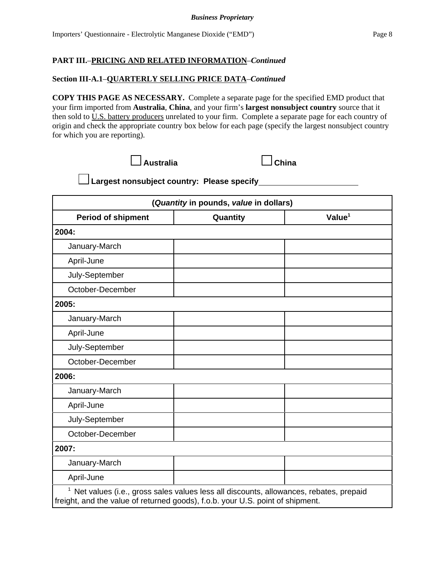## **Section III-A.1**–**QUARTERLY SELLING PRICE DATA**–*Continued*

**COPY THIS PAGE AS NECESSARY.** Complete a separate page for the specified EMD product that your firm imported from **Australia**, **China**, and your firm's **largest nonsubject country** source that it then sold to U.S. battery producers unrelated to your firm. Complete a separate page for each country of origin and check the appropriate country box below for each page (specify the largest nonsubject country for which you are reporting).



 **Largest nonsubject country: Please specify** 

|                           | (Quantity in pounds, value in dollars) |           |
|---------------------------|----------------------------------------|-----------|
| <b>Period of shipment</b> | Quantity                               | Value $1$ |
| 2004:                     |                                        |           |
| January-March             |                                        |           |
| April-June                |                                        |           |
| July-September            |                                        |           |
| October-December          |                                        |           |
| 2005:                     |                                        |           |
| January-March             |                                        |           |
| April-June                |                                        |           |
| July-September            |                                        |           |
| October-December          |                                        |           |
| 2006:                     |                                        |           |
| January-March             |                                        |           |
| April-June                |                                        |           |
| July-September            |                                        |           |
| October-December          |                                        |           |
| 2007:                     |                                        |           |
| January-March             |                                        |           |
| April-June                |                                        |           |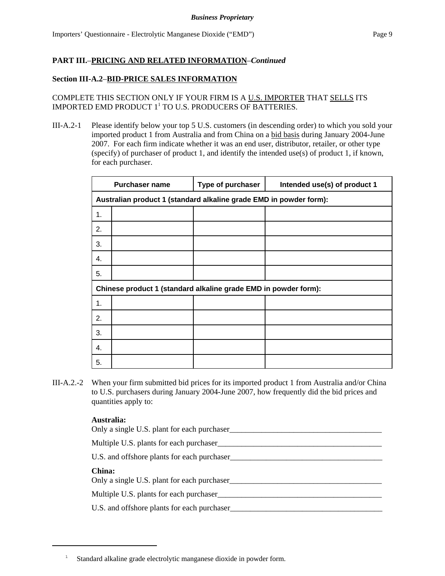# **Section III-A.2**–**BID-PRICE SALES INFORMATION**

COMPLETE THIS SECTION ONLY IF YOUR FIRM IS A U.S. IMPORTER THAT SELLS ITS IMPORTED EMD PRODUCT  $1^1$  TO U.S. PRODUCERS OF BATTERIES.

III-A.2-1 Please identify below your top 5 U.S. customers (in descending order) to which you sold your imported product 1 from Australia and from China on a bid basis during January 2004-June 2007. For each firm indicate whether it was an end user, distributor, retailer, or other type (specify) of purchaser of product 1, and identify the intended use(s) of product 1, if known, for each purchaser.

|    | <b>Purchaser name</b>                                              | Type of purchaser | Intended use(s) of product 1 |  |  |
|----|--------------------------------------------------------------------|-------------------|------------------------------|--|--|
|    | Australian product 1 (standard alkaline grade EMD in powder form): |                   |                              |  |  |
| 1. |                                                                    |                   |                              |  |  |
| 2. |                                                                    |                   |                              |  |  |
| 3. |                                                                    |                   |                              |  |  |
| 4. |                                                                    |                   |                              |  |  |
| 5. |                                                                    |                   |                              |  |  |
|    | Chinese product 1 (standard alkaline grade EMD in powder form):    |                   |                              |  |  |
| 1. |                                                                    |                   |                              |  |  |
| 2. |                                                                    |                   |                              |  |  |
| 3. |                                                                    |                   |                              |  |  |
| 4. |                                                                    |                   |                              |  |  |
| 5. |                                                                    |                   |                              |  |  |

III-A.2.-2 When your firm submitted bid prices for its imported product 1 from Australia and/or China to U.S. purchasers during January 2004-June 2007, how frequently did the bid prices and quantities apply to:

| Only a single U.S. plant for each purchaser  |
|----------------------------------------------|
| Multiple U.S. plants for each purchaser      |
| U.S. and offshore plants for each purchaser_ |
| China:                                       |
| Only a single U.S. plant for each purchaser  |
| Multiple U.S. plants for each purchaser      |
| U.S. and offshore plants for each purchaser  |
|                                              |

<sup>1</sup> Standard alkaline grade electrolytic manganese dioxide in powder form.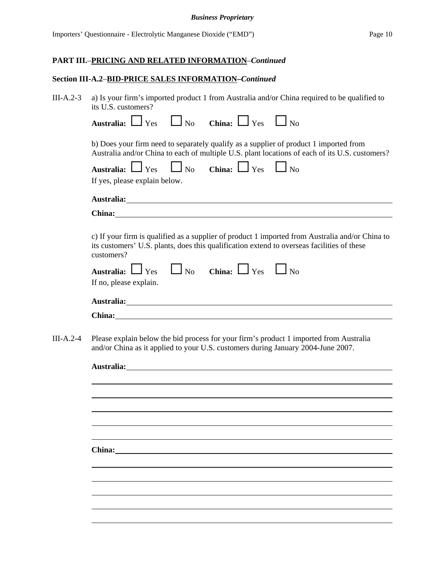#### *Business Proprietary*

# **PART III.**–**PRICING AND RELATED INFORMATION**–*Continued*

# **Section III-A.2**–**BID-PRICE SALES INFORMATION–***Continued*

| $III-A.2-3$ | a) Is your firm's imported product 1 from Australia and/or China required to be qualified to<br>its U.S. customers?                                                                                                                  |
|-------------|--------------------------------------------------------------------------------------------------------------------------------------------------------------------------------------------------------------------------------------|
|             | Australia: $\Box$ Yes $\Box$ No China: $\Box$ Yes $\Box$ No                                                                                                                                                                          |
|             | b) Does your firm need to separately qualify as a supplier of product 1 imported from<br>Australia and/or China to each of multiple U.S. plant locations of each of its U.S. customers?                                              |
|             | Australia: $\Box$ Yes $\Box$ No China: $\Box$ Yes $\Box$ No<br>If yes, please explain below.                                                                                                                                         |
|             | Australia: <u>New York: New York: New York: New York: New York: New York: New York: New York: New York: New York: New York: New York: New York: New York: New York: New York: New York: New York: New York: New York: New York: </u> |
|             | China: China and China and China and China and China and China and China and China and China and China and China and China and China and China and China and China and China and China and China and China and China and China       |
|             | c) If your firm is qualified as a supplier of product 1 imported from Australia and/or China to<br>its customers' U.S. plants, does this qualification extend to overseas facilities of these<br>customers?                          |
|             | Australia: $\Box$ Yes $\Box$ No China: $\Box$ Yes $\Box$ No<br>If no, please explain.                                                                                                                                                |
|             | Australia: <u>New Australia</u>                                                                                                                                                                                                      |
|             |                                                                                                                                                                                                                                      |
| $III-A.2-4$ | Please explain below the bid process for your firm's product 1 imported from Australia<br>and/or China as it applied to your U.S. customers during January 2004-June 2007.                                                           |
|             |                                                                                                                                                                                                                                      |
|             |                                                                                                                                                                                                                                      |
|             |                                                                                                                                                                                                                                      |
|             |                                                                                                                                                                                                                                      |
|             |                                                                                                                                                                                                                                      |
|             | China:                                                                                                                                                                                                                               |
|             |                                                                                                                                                                                                                                      |
|             |                                                                                                                                                                                                                                      |
|             |                                                                                                                                                                                                                                      |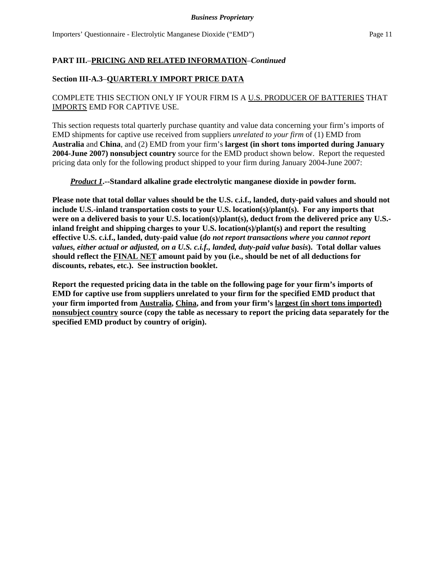#### *Business Proprietary*

# **PART III.**–**PRICING AND RELATED INFORMATION**–*Continued*

## **Section III-A.3**–**QUARTERLY IMPORT PRICE DATA**

# COMPLETE THIS SECTION ONLY IF YOUR FIRM IS A U.S. PRODUCER OF BATTERIES THAT IMPORTS EMD FOR CAPTIVE USE.

This section requests total quarterly purchase quantity and value data concerning your firm's imports of EMD shipments for captive use received from suppliers *unrelated to your firm* of (1) EMD from **Australia** and **China**, and (2) EMD from your firm's **largest (in short tons imported during January 2004-June 2007) nonsubject country** source for the EMD product shown below. Report the requested pricing data only for the following product shipped to your firm during January 2004-June 2007:

#### *Product 1***.--Standard alkaline grade electrolytic manganese dioxide in powder form.**

**Please note that total dollar values should be the U.S. c.i.f., landed, duty-paid values and should not include U.S.-inland transportation costs to your U.S. location(s)/plant(s). For any imports that were on a delivered basis to your U.S. location(s)/plant(s), deduct from the delivered price any U.S. inland freight and shipping charges to your U.S. location(s)/plant(s) and report the resulting effective U.S. c.i.f., landed, duty-paid value (***do not report transactions where you cannot report values, either actual or adjusted, on a U.S. c.i.f., landed, duty-paid value basis***). Total dollar values should reflect the FINAL NET amount paid by you (i.e., should be net of all deductions for discounts, rebates, etc.). See instruction booklet.**

**Report the requested pricing data in the table on the following page for your firm's imports of EMD for captive use from suppliers unrelated to your firm for the specified EMD product that your firm imported from Australia, China, and from your firm's largest (in short tons imported) nonsubject country source (copy the table as necessary to report the pricing data separately for the specified EMD product by country of origin).**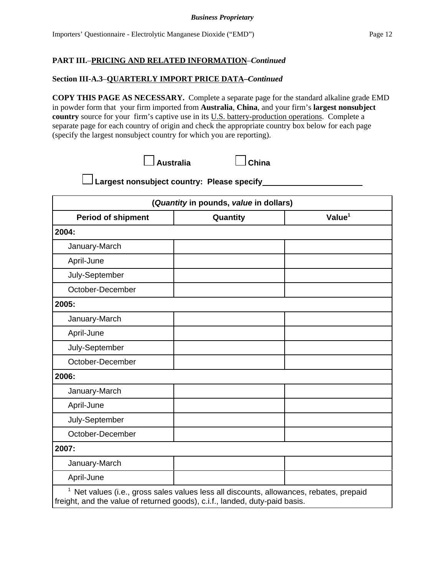## **Section III-A.3**–**QUARTERLY IMPORT PRICE DATA–***Continued*

**COPY THIS PAGE AS NECESSARY.** Complete a separate page for the standard alkaline grade EMD in powder form that your firm imported from **Australia**, **China**, and your firm's **largest nonsubject country** source for your firm's captive use in its U.S. battery-production operations. Complete a separate page for each country of origin and check the appropriate country box below for each page (specify the largest nonsubject country for which you are reporting).

| $\Box$ Australia | $\Box$ China |
|------------------|--------------|
|------------------|--------------|

 **Largest nonsubject country: Please specify** 

| (Quantity in pounds, value in dollars) |          |                    |  |
|----------------------------------------|----------|--------------------|--|
| <b>Period of shipment</b>              | Quantity | Value <sup>1</sup> |  |
| 2004:                                  |          |                    |  |
| January-March                          |          |                    |  |
| April-June                             |          |                    |  |
| July-September                         |          |                    |  |
| October-December                       |          |                    |  |
| 2005:                                  |          |                    |  |
| January-March                          |          |                    |  |
| April-June                             |          |                    |  |
| July-September                         |          |                    |  |
| October-December                       |          |                    |  |
| 2006:                                  |          |                    |  |
| January-March                          |          |                    |  |
| April-June                             |          |                    |  |
| July-September                         |          |                    |  |
| October-December                       |          |                    |  |
| 2007:                                  |          |                    |  |
| January-March                          |          |                    |  |
| April-June                             |          |                    |  |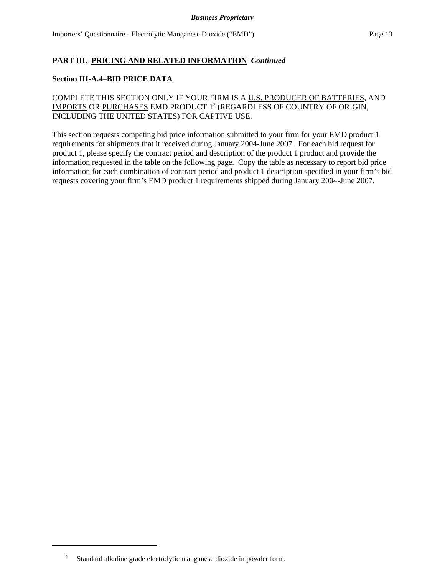#### **Section III-A.4**–**BID PRICE DATA**

COMPLETE THIS SECTION ONLY IF YOUR FIRM IS A U.S. PRODUCER OF BATTERIES, AND IMPORTS OR <u>PURCHASES</u> EMD PRODUCT 1<sup>2</sup> (REGARDLESS OF COUNTRY OF ORIGIN, INCLUDING THE UNITED STATES) FOR CAPTIVE USE.

This section requests competing bid price information submitted to your firm for your EMD product 1 requirements for shipments that it received during January 2004-June 2007. For each bid request for product 1, please specify the contract period and description of the product 1 product and provide the information requested in the table on the following page. Copy the table as necessary to report bid price information for each combination of contract period and product 1 description specified in your firm's bid requests covering your firm's EMD product 1 requirements shipped during January 2004-June 2007.

<sup>2</sup> Standard alkaline grade electrolytic manganese dioxide in powder form.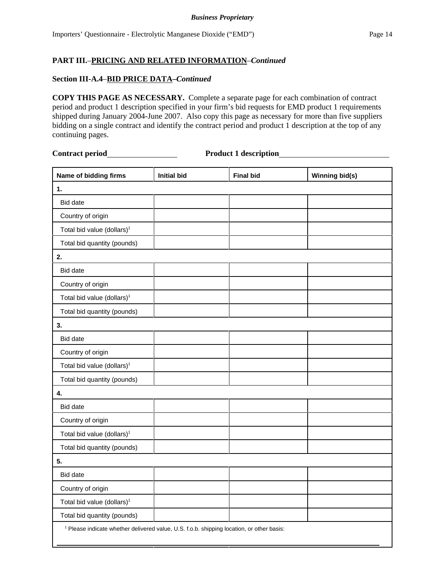## **Section III-A.4**–**BID PRICE DATA–***Continued*

**COPY THIS PAGE AS NECESSARY.** Complete a separate page for each combination of contract period and product 1 description specified in your firm's bid requests for EMD product 1 requirements shipped during January 2004-June 2007. Also copy this page as necessary for more than five suppliers bidding on a single contract and identify the contract period and product 1 description at the top of any continuing pages.

 $\overline{a}$ 

**Contract period Product 1 description**

| Name of bidding firms                                                                                | <b>Initial bid</b> | <b>Final bid</b> | Winning bid(s) |  |
|------------------------------------------------------------------------------------------------------|--------------------|------------------|----------------|--|
| 1.                                                                                                   |                    |                  |                |  |
| <b>Bid date</b>                                                                                      |                    |                  |                |  |
| Country of origin                                                                                    |                    |                  |                |  |
| Total bid value (dollars) <sup>1</sup>                                                               |                    |                  |                |  |
| Total bid quantity (pounds)                                                                          |                    |                  |                |  |
| 2.                                                                                                   |                    |                  |                |  |
| <b>Bid date</b>                                                                                      |                    |                  |                |  |
| Country of origin                                                                                    |                    |                  |                |  |
| Total bid value (dollars) <sup>1</sup>                                                               |                    |                  |                |  |
| Total bid quantity (pounds)                                                                          |                    |                  |                |  |
| 3.                                                                                                   |                    |                  |                |  |
| <b>Bid date</b>                                                                                      |                    |                  |                |  |
| Country of origin                                                                                    |                    |                  |                |  |
| Total bid value (dollars) <sup>1</sup>                                                               |                    |                  |                |  |
| Total bid quantity (pounds)                                                                          |                    |                  |                |  |
| 4.                                                                                                   |                    |                  |                |  |
| <b>Bid date</b>                                                                                      |                    |                  |                |  |
| Country of origin                                                                                    |                    |                  |                |  |
| Total bid value (dollars) <sup>1</sup>                                                               |                    |                  |                |  |
| Total bid quantity (pounds)                                                                          |                    |                  |                |  |
| 5.                                                                                                   |                    |                  |                |  |
| <b>Bid date</b>                                                                                      |                    |                  |                |  |
| Country of origin                                                                                    |                    |                  |                |  |
| Total bid value (dollars) <sup>1</sup>                                                               |                    |                  |                |  |
| Total bid quantity (pounds)                                                                          |                    |                  |                |  |
| <sup>1</sup> Please indicate whether delivered value, U.S. f.o.b. shipping location, or other basis: |                    |                  |                |  |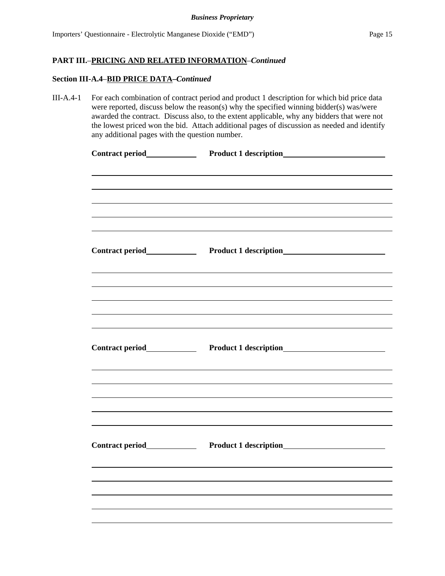# **Section III-A.4**–**BID PRICE DATA–***Continued*

| $III-A.4-1$ | For each combination of contract period and product 1 description for which bid price data<br>were reported, discuss below the reason(s) why the specified winning bidder(s) was/were<br>awarded the contract. Discuss also, to the extent applicable, why any bidders that were not<br>the lowest priced won the bid. Attach additional pages of discussion as needed and identify<br>any additional pages with the question number. |                                                       |  |  |
|-------------|---------------------------------------------------------------------------------------------------------------------------------------------------------------------------------------------------------------------------------------------------------------------------------------------------------------------------------------------------------------------------------------------------------------------------------------|-------------------------------------------------------|--|--|
|             | Contract period<br><u>Contract period</u>                                                                                                                                                                                                                                                                                                                                                                                             |                                                       |  |  |
|             |                                                                                                                                                                                                                                                                                                                                                                                                                                       |                                                       |  |  |
|             | Contract period<br><u>Contract period</u>                                                                                                                                                                                                                                                                                                                                                                                             |                                                       |  |  |
|             |                                                                                                                                                                                                                                                                                                                                                                                                                                       |                                                       |  |  |
|             |                                                                                                                                                                                                                                                                                                                                                                                                                                       | Product 1 description<br><u>Froduct 1</u> description |  |  |
|             |                                                                                                                                                                                                                                                                                                                                                                                                                                       |                                                       |  |  |
|             | Contract period                                                                                                                                                                                                                                                                                                                                                                                                                       |                                                       |  |  |
|             |                                                                                                                                                                                                                                                                                                                                                                                                                                       |                                                       |  |  |
|             |                                                                                                                                                                                                                                                                                                                                                                                                                                       |                                                       |  |  |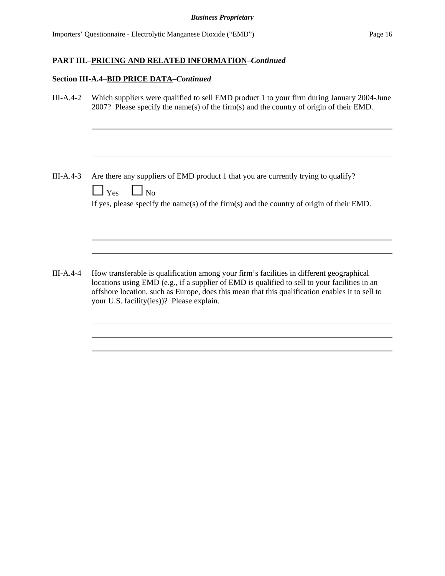# **Section III-A.4**–**BID PRICE DATA–***Continued*

| $III-A.4-2$ | Which suppliers were qualified to sell EMD product 1 to your firm during January 2004-June<br>2007? Please specify the name(s) of the firm(s) and the country of origin of their EMD.                                                                                                                                                     |
|-------------|-------------------------------------------------------------------------------------------------------------------------------------------------------------------------------------------------------------------------------------------------------------------------------------------------------------------------------------------|
| $III-A.4-3$ | Are there any suppliers of EMD product 1 that you are currently trying to qualify?<br>$\Box$ Yes<br>$\Box$ No<br>If yes, please specify the name(s) of the firm(s) and the country of origin of their EMD.                                                                                                                                |
| $III-A.4-4$ | How transferable is qualification among your firm's facilities in different geographical<br>locations using EMD (e.g., if a supplier of EMD is qualified to sell to your facilities in an<br>offshore location, such as Europe, does this mean that this qualification enables it to sell to<br>your U.S. facility(ies))? Please explain. |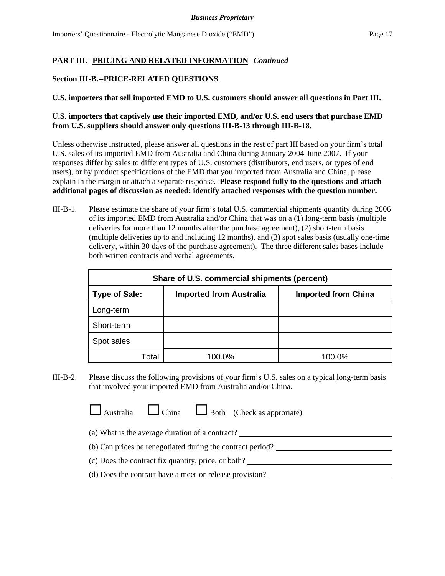## **Section III-B.--PRICE-RELATED QUESTIONS**

## **U.S. importers that sell imported EMD to U.S. customers should answer all questions in Part III.**

# **U.S. importers that captively use their imported EMD, and/or U.S. end users that purchase EMD from U.S. suppliers should answer only questions III-B-13 through III-B-18.**

Unless otherwise instructed, please answer all questions in the rest of part III based on your firm's total U.S. sales of its imported EMD from Australia and China during January 2004-June 2007. If your responses differ by sales to different types of U.S. customers (distributors, end users, or types of end users), or by product specifications of the EMD that you imported from Australia and China, please explain in the margin or attach a separate response. **Please respond fully to the questions and attach additional pages of discussion as needed; identify attached responses with the question number.**

III-B-1. Please estimate the share of your firm's total U.S. commercial shipments quantity during 2006 of its imported EMD from Australia and/or China that was on a (1) long-term basis (multiple deliveries for more than 12 months after the purchase agreement), (2) short-term basis (multiple deliveries up to and including 12 months), and (3) spot sales basis (usually one-time delivery, within 30 days of the purchase agreement). The three different sales bases include both written contracts and verbal agreements.

| Share of U.S. commercial shipments (percent)                                         |        |        |  |
|--------------------------------------------------------------------------------------|--------|--------|--|
| <b>Type of Sale:</b><br><b>Imported from China</b><br><b>Imported from Australia</b> |        |        |  |
| Long-term                                                                            |        |        |  |
| Short-term                                                                           |        |        |  |
| Spot sales                                                                           |        |        |  |
| Total                                                                                | 100.0% | 100.0% |  |

III-B-2. Please discuss the following provisions of your firm's U.S. sales on a typical long-term basis that involved your imported EMD from Australia and/or China.

 $\Box$  Australia  $\Box$  China  $\Box$  Both (Check as approriate)

(a) What is the average duration of a contract?

(b) Can prices be renegotiated during the contract period?

- (c) Does the contract fix quantity, price, or both?
- (d) Does the contract have a meet-or-release provision?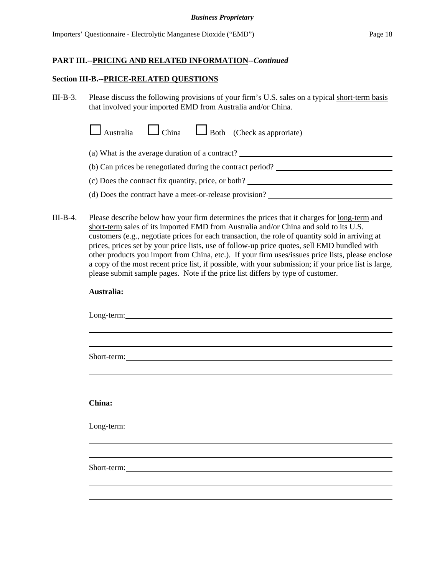#### *Business Proprietary*

#### **PART III.--PRICING AND RELATED INFORMATION--***Continued*

#### **Section III-B.--PRICE-RELATED QUESTIONS**

III-B-3. Please discuss the following provisions of your firm's U.S. sales on a typical short-term basis that involved your imported EMD from Australia and/or China.

| $\Box$ Australia $\Box$ China $\Box$ Both (Check as approviate) |  |  |
|-----------------------------------------------------------------|--|--|
|-----------------------------------------------------------------|--|--|

(a) What is the average duration of a contract?

(b) Can prices be renegotiated during the contract period?

- (c) Does the contract fix quantity, price, or both?
- (d) Does the contract have a meet-or-release provision?
- III-B-4. Please describe below how your firm determines the prices that it charges for <u>long-term</u> and short-term sales of its imported EMD from Australia and/or China and sold to its U.S. customers (e.g., negotiate prices for each transaction, the role of quantity sold in arriving at prices, prices set by your price lists, use of follow-up price quotes, sell EMD bundled with other products you import from China, etc.). If your firm uses/issues price lists, please enclose a copy of the most recent price list, if possible, with your submission; if your price list is large, please submit sample pages. Note if the price list differs by type of customer.

| Australia:                                                                                                                                                                                                                     |  |
|--------------------------------------------------------------------------------------------------------------------------------------------------------------------------------------------------------------------------------|--|
| Long-term: Note that the contract of the contract of the contract of the contract of the contract of the contract of the contract of the contract of the contract of the contract of the contract of the contract of the contr |  |
|                                                                                                                                                                                                                                |  |
| Short-term:                                                                                                                                                                                                                    |  |
|                                                                                                                                                                                                                                |  |
| China:                                                                                                                                                                                                                         |  |
|                                                                                                                                                                                                                                |  |
|                                                                                                                                                                                                                                |  |
| Short-term: Note that the same state of the state of the state of the state of the state of the state of the state of the state of the state of the state of the state of the state of the state of the state of the state of  |  |
|                                                                                                                                                                                                                                |  |
|                                                                                                                                                                                                                                |  |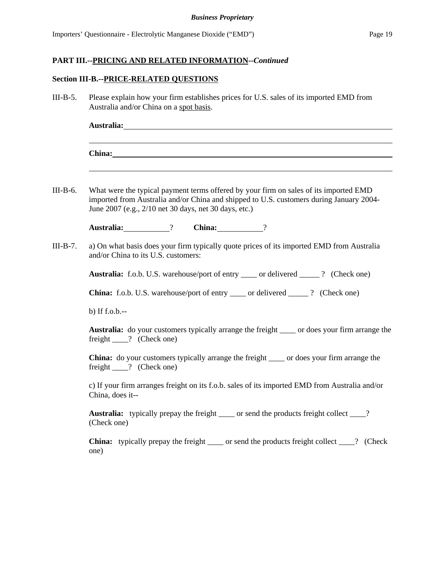#### **Section III-B.--PRICE-RELATED QUESTIONS**

III-B-5. Please explain how your firm establishes prices for U.S. sales of its imported EMD from Australia and/or China on a spot basis.

| Australia: |  |  |
|------------|--|--|
|            |  |  |
|            |  |  |
| China:     |  |  |
|            |  |  |

III-B-6. What were the typical payment terms offered by your firm on sales of its imported EMD imported from Australia and/or China and shipped to U.S. customers during January 2004- June 2007 (e.g., 2/10 net 30 days, net 30 days, etc.)

**Australia:** ? **China:** ?

III-B-7. a) On what basis does your firm typically quote prices of its imported EMD from Australia and/or China to its U.S. customers:

Australia: f.o.b. U.S. warehouse/port of entry \_\_\_\_\_ or delivered \_\_\_\_\_ ? (Check one)

**China:** f.o.b. U.S. warehouse/port of entry or delivered ? (Check one)

b) If f.o.b.--

**Australia:** do your customers typically arrange the freight \_\_\_\_ or does your firm arrange the freight \_\_\_\_? (Check one)

**China:** do your customers typically arrange the freight \_\_\_\_ or does your firm arrange the freight \_\_\_\_? (Check one)

c) If your firm arranges freight on its f.o.b. sales of its imported EMD from Australia and/or China, does it--

Australia: typically prepay the freight \_\_\_\_\_ or send the products freight collect \_\_\_\_? (Check one)

**China:** typically prepay the freight \_\_\_\_ or send the products freight collect \_\_\_\_? (Check one)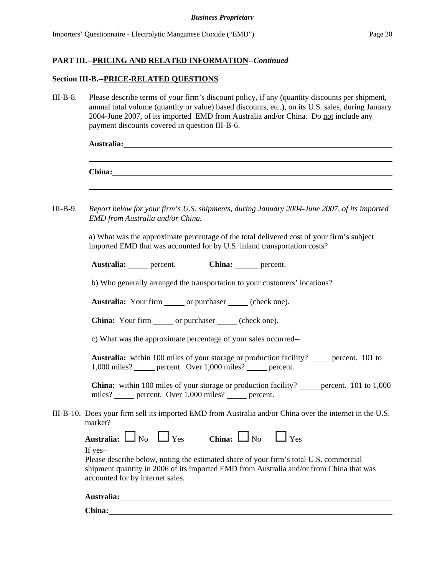#### **Section III-B.--PRICE-RELATED QUESTIONS**

III-B-8. Please describe terms of your firm's discount policy, if any (quantity discounts per shipment, annual total volume (quantity or value) based discounts, etc.), on its U.S. sales, during January 2004-June 2007, of its imported EMD from Australia and/or China. Do not include any payment discounts covered in question III-B-6.

| Australia: |  |  |
|------------|--|--|
|            |  |  |
|            |  |  |
| China:     |  |  |

III-B-9. *Report below for your firm's U.S. shipments, during January 2004-June 2007, of its imported EMD from Australia and/or China.*

> a) What was the approximate percentage of the total delivered cost of your firm's subject imported EMD that was accounted for by U.S. inland transportation costs?

| Australia: | percent. | China: | percent. |
|------------|----------|--------|----------|
|------------|----------|--------|----------|

b) Who generally arranged the transportation to your customers' locations?

**Australia:** Your firm or purchaser (check one).

**China:** Your firm or purchaser (check one).

c) What was the approximate percentage of your sales occurred--

**Australia:** within 100 miles of your storage or production facility? percent. 101 to 1,000 miles? percent. Over 1,000 miles? percent.

**China:** within 100 miles of your storage or production facility? \_\_\_\_\_\_ percent. 101 to 1,000 miles? percent. Over 1,000 miles? percent.

III-B-10. Does your firm sell its imported EMD from Australia and/or China over the internet in the U.S. market?

Australia:  $\Box$  No  $\Box$  Yes **China:**  $\Box$  No  $\Box$  Yes

If yes–

Please describe below, noting the estimated share of your firm's total U.S. commercial shipment quantity in 2006 of its imported EMD from Australia and/or from China that was accounted for by internet sales.

| Australia: |  |  |  |
|------------|--|--|--|
|            |  |  |  |

**China:**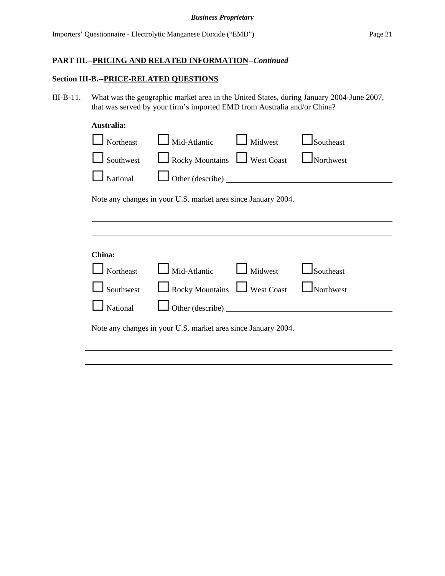#### **Section III-B.--PRICE-RELATED QUESTIONS**

III-B-11. What was the geographic market area in the United States, during January 2004-June 2007, that was served by your firm's imported EMD from Australia and/or China?

#### **Australia:**

| Northeast | Mid-Atlantic                                                  | Midwest           | Southeast |
|-----------|---------------------------------------------------------------|-------------------|-----------|
| Southwest | $\Box$ Rocky Mountains                                        | $\Box$ West Coast | Northwest |
| National  |                                                               | Other (describe)  |           |
|           | Note any changes in your U.S. market area since January 2004. |                   |           |
|           |                                                               |                   |           |
| China:    |                                                               |                   |           |
| Northeast | Mid-Atlantic                                                  | Midwest           | Southeast |
| Southwest | Rocky Mountains U West Coast                                  |                   | Northwest |
| National  |                                                               |                   |           |
|           | Note any changes in your U.S. market area since January 2004. |                   |           |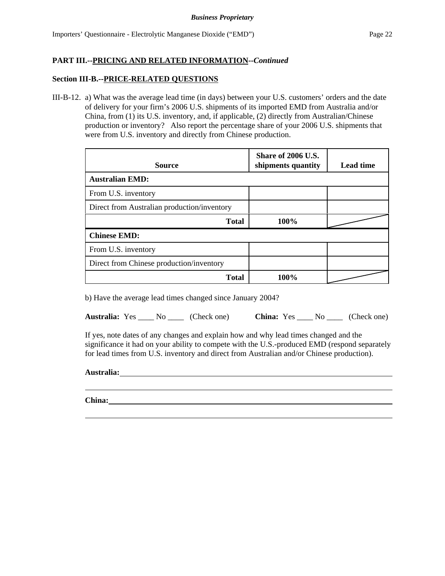### **Section III-B.--PRICE-RELATED QUESTIONS**

III-B-12. a) What was the average lead time (in days) between your U.S. customers' orders and the date of delivery for your firm's 2006 U.S. shipments of its imported EMD from Australia and/or China, from (1) its U.S. inventory, and, if applicable, (2) directly from Australian/Chinese production or inventory? Also report the percentage share of your 2006 U.S. shipments that were from U.S. inventory and directly from Chinese production.

| <b>Source</b>                               | Share of 2006 U.S.<br>shipments quantity | <b>Lead time</b> |
|---------------------------------------------|------------------------------------------|------------------|
| <b>Australian EMD:</b>                      |                                          |                  |
| From U.S. inventory                         |                                          |                  |
| Direct from Australian production/inventory |                                          |                  |
| <b>Total</b>                                | 100%                                     |                  |
| <b>Chinese EMD:</b>                         |                                          |                  |
| From U.S. inventory                         |                                          |                  |
| Direct from Chinese production/inventory    |                                          |                  |
| <b>Total</b>                                | 100%                                     |                  |

b) Have the average lead times changed since January 2004?

**Australia:** Yes No (Check one) **China:** Yes No (Check one)

If yes, note dates of any changes and explain how and why lead times changed and the significance it had on your ability to compete with the U.S.-produced EMD (respond separately for lead times from U.S. inventory and direct from Australian and/or Chinese production).

**Australia:**

**China:**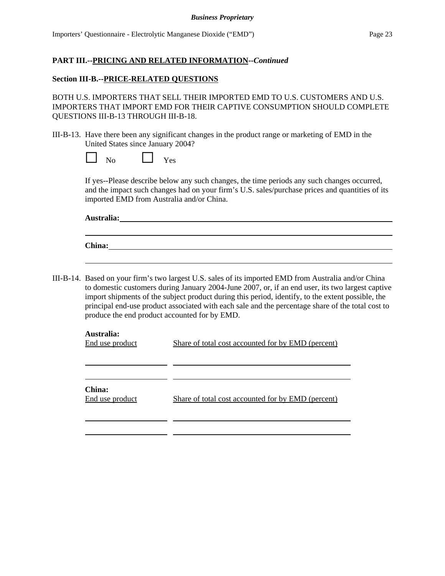#### **Section III-B.--PRICE-RELATED QUESTIONS**

BOTH U.S. IMPORTERS THAT SELL THEIR IMPORTED EMD TO U.S. CUSTOMERS AND U.S. IMPORTERS THAT IMPORT EMD FOR THEIR CAPTIVE CONSUMPTION SHOULD COMPLETE QUESTIONS III-B-13 THROUGH III-B-18.

III-B-13. Have there been any significant changes in the product range or marketing of EMD in the United States since January 2004?

| $N_{\Omega}$ |  | <b>KT</b><br>Yes |
|--------------|--|------------------|
|--------------|--|------------------|

If yes--Please describe below any such changes, the time periods any such changes occurred, and the impact such changes had on your firm's U.S. sales/purchase prices and quantities of its imported EMD from Australia and/or China.

**Australia:**

| China: |  |  |  |
|--------|--|--|--|
|        |  |  |  |

III-B-14. Based on your firm's two largest U.S. sales of its imported EMD from Australia and/or China to domestic customers during January 2004-June 2007, or, if an end user, its two largest captive import shipments of the subject product during this period, identify, to the extent possible, the principal end-use product associated with each sale and the percentage share of the total cost to produce the end product accounted for by EMD.

| Australia:<br>End use product | <b>Share of total cost accounted for by EMD (percent)</b> |
|-------------------------------|-----------------------------------------------------------|
| China:<br>End use product     | Share of total cost accounted for by EMD (percent)        |
|                               |                                                           |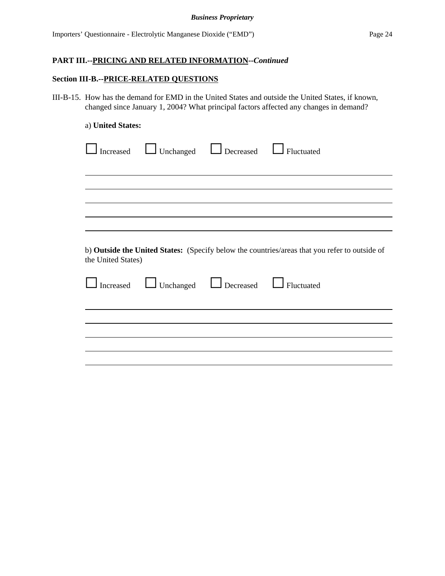#### **Section III-B.--PRICE-RELATED QUESTIONS**

III-B-15. How has the demand for EMD in the United States and outside the United States, if known, changed since January 1, 2004? What principal factors affected any changes in demand?

#### a) **United States:**

| Increased                       | $\Box$ Unchanged | $\Box$ Decreased                                 | $\Box$ Fluctuated                                                                             |
|---------------------------------|------------------|--------------------------------------------------|-----------------------------------------------------------------------------------------------|
|                                 |                  |                                                  |                                                                                               |
|                                 |                  |                                                  |                                                                                               |
|                                 |                  |                                                  |                                                                                               |
| the United States)<br>Increased |                  | Unchanged <b>L</b> Decreased <b>L</b> Fluctuated | b) Outside the United States: (Specify below the countries/areas that you refer to outside of |
|                                 |                  |                                                  |                                                                                               |
|                                 |                  |                                                  |                                                                                               |
|                                 |                  |                                                  |                                                                                               |
|                                 |                  |                                                  |                                                                                               |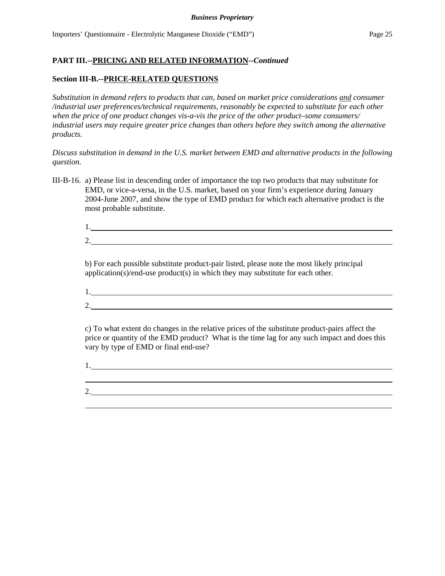## **Section III-B.--PRICE-RELATED QUESTIONS**

*Substitution in demand refers to products that can, based on market price considerations and consumer /industrial user preferences/technical requirements, reasonably be expected to substitute for each other when the price of one product changes vis-a-vis the price of the other product–some consumers/ industrial users may require greater price changes than others before they switch among the alternative products.*

*Discuss substitution in demand in the U.S. market between EMD and alternative products in the following question.*

III-B-16. a) Please list in descending order of importance the top two products that may substitute for EMD, or vice-a-versa, in the U.S. market, based on your firm's experience during January 2004-June 2007, and show the type of EMD product for which each alternative product is the most probable substitute.

| <u>.</u> |  |  |  |
|----------|--|--|--|

b) For each possible substitute product-pair listed, please note the most likely principal application(s)/end-use product(s) in which they may substitute for each other.

- 1.
- 2.

c) To what extent do changes in the relative prices of the substitute product-pairs affect the price or quantity of the EMD product? What is the time lag for any such impact and does this vary by type of EMD or final end-use?

1. 

2.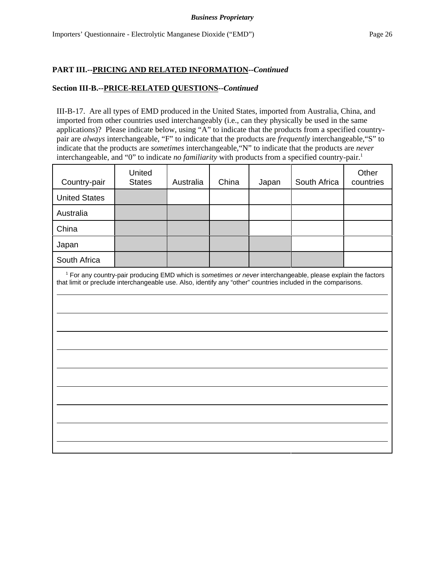#### **Section III-B.--PRICE-RELATED QUESTIONS--***Continued*

III-B-17. Are all types of EMD produced in the United States, imported from Australia, China, and imported from other countries used interchangeably (i.e., can they physically be used in the same applications)? Please indicate below, using "A" to indicate that the products from a specified countrypair are *always* interchangeable, "F" to indicate that the products are *frequently* interchangeable,"S" to indicate that the products are *sometimes* interchangeable,"N" to indicate that the products are *never* interchangeable, and "0" to indicate *no familiarity* with products from a specified country-pair.<sup>1</sup>

| Country-pair                                                                                                  | United<br><b>States</b>                                                                                                 | Australia | China | Japan | South Africa | Other<br>countries |
|---------------------------------------------------------------------------------------------------------------|-------------------------------------------------------------------------------------------------------------------------|-----------|-------|-------|--------------|--------------------|
| <b>United States</b>                                                                                          |                                                                                                                         |           |       |       |              |                    |
| Australia                                                                                                     |                                                                                                                         |           |       |       |              |                    |
| China                                                                                                         |                                                                                                                         |           |       |       |              |                    |
| Japan                                                                                                         |                                                                                                                         |           |       |       |              |                    |
| South Africa                                                                                                  |                                                                                                                         |           |       |       |              |                    |
| that limit or preclude interchangeable use. Also, identify any "other" countries included in the comparisons. | <sup>1</sup> For any country-pair producing EMD which is sometimes or never interchangeable, please explain the factors |           |       |       |              |                    |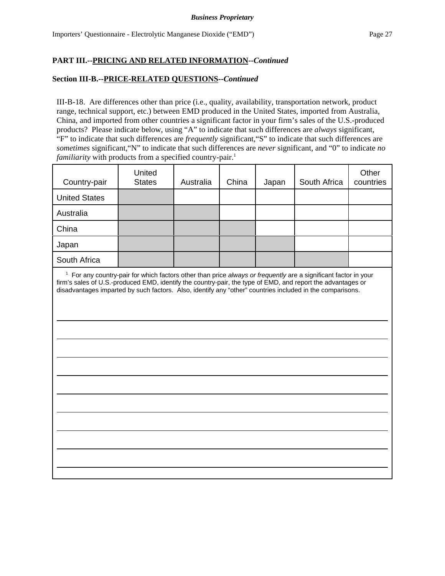#### **Section III-B.--PRICE-RELATED QUESTIONS--***Continued*

III-B-18. Are differences other than price (i.e., quality, availability, transportation network, product range, technical support, etc.) between EMD produced in the United States, imported from Australia, China, and imported from other countries a significant factor in your firm's sales of the U.S.-produced products? Please indicate below, using "A" to indicate that such differences are *always* significant, "F" to indicate that such differences are *frequently* significant,"S" to indicate that such differences are *sometimes* significant,"N" to indicate that such differences are *never* significant, and "0" to indicate *no familiarity* with products from a specified country-pair.<sup>1</sup>

| Country-pair                                                                                                                                                                                                                                                                                                                                  | United<br><b>States</b> | Australia | China | Japan | South Africa | Other<br>countries |
|-----------------------------------------------------------------------------------------------------------------------------------------------------------------------------------------------------------------------------------------------------------------------------------------------------------------------------------------------|-------------------------|-----------|-------|-------|--------------|--------------------|
| <b>United States</b>                                                                                                                                                                                                                                                                                                                          |                         |           |       |       |              |                    |
| Australia                                                                                                                                                                                                                                                                                                                                     |                         |           |       |       |              |                    |
| China                                                                                                                                                                                                                                                                                                                                         |                         |           |       |       |              |                    |
| Japan                                                                                                                                                                                                                                                                                                                                         |                         |           |       |       |              |                    |
| South Africa                                                                                                                                                                                                                                                                                                                                  |                         |           |       |       |              |                    |
| $1$ For any country-pair for which factors other than price always or frequently are a significant factor in your<br>firm's sales of U.S.-produced EMD, identify the country-pair, the type of EMD, and report the advantages or<br>disadvantages imparted by such factors. Also, identify any "other" countries included in the comparisons. |                         |           |       |       |              |                    |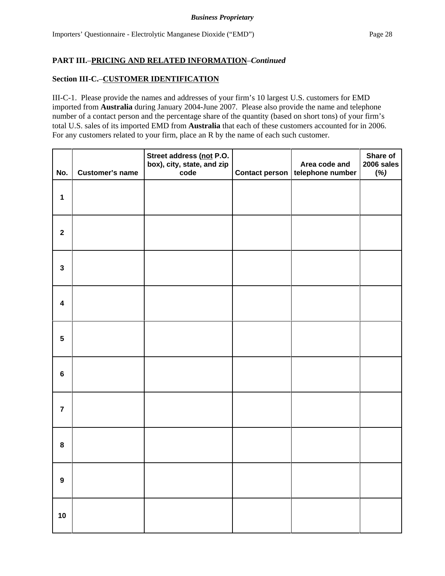## **Section III-C.**–**CUSTOMER IDENTIFICATION**

III-C-1. Please provide the names and addresses of your firm's 10 largest U.S. customers for EMD imported from **Australia** during January 2004-June 2007. Please also provide the name and telephone number of a contact person and the percentage share of the quantity (based on short tons) of your firm's total U.S. sales of its imported EMD from **Australia** that each of these customers accounted for in 2006. For any customers related to your firm, place an R by the name of each such customer.

| No.                     | <b>Customer's name</b> | Street address (not P.O.<br>box), city, state, and zip<br>code | Contact person | Area code and<br>telephone number | Share of<br>2006 sales<br>(%) |
|-------------------------|------------------------|----------------------------------------------------------------|----------------|-----------------------------------|-------------------------------|
| $\mathbf 1$             |                        |                                                                |                |                                   |                               |
| $\mathbf 2$             |                        |                                                                |                |                                   |                               |
| $\mathbf{3}$            |                        |                                                                |                |                                   |                               |
| $\overline{\mathbf{4}}$ |                        |                                                                |                |                                   |                               |
| $5\phantom{.0}$         |                        |                                                                |                |                                   |                               |
| $\bf 6$                 |                        |                                                                |                |                                   |                               |
| $\overline{7}$          |                        |                                                                |                |                                   |                               |
| $\pmb{8}$               |                        |                                                                |                |                                   |                               |
| $\boldsymbol{9}$        |                        |                                                                |                |                                   |                               |
| $10$                    |                        |                                                                |                |                                   |                               |